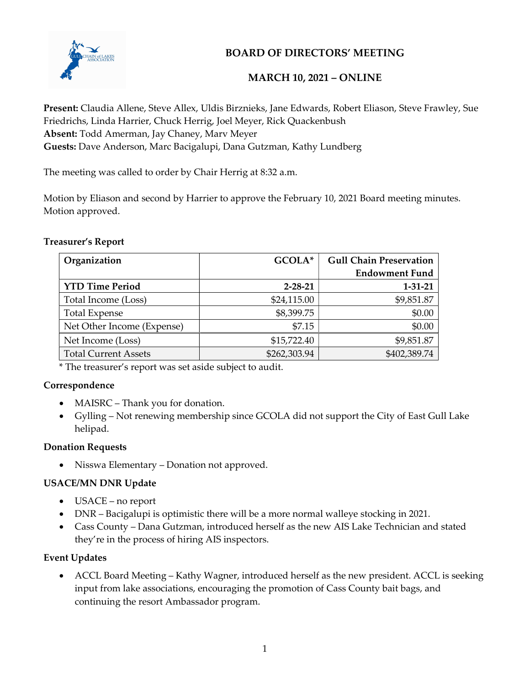

# BOARD OF DIRECTORS' MEETING

## MARCH 10, 2021 – ONLINE

Present: Claudia Allene, Steve Allex, Uldis Birznieks, Jane Edwards, Robert Eliason, Steve Frawley, Sue Friedrichs, Linda Harrier, Chuck Herrig, Joel Meyer, Rick Quackenbush Absent: Todd Amerman, Jay Chaney, Marv Meyer Guests: Dave Anderson, Marc Bacigalupi, Dana Gutzman, Kathy Lundberg

The meeting was called to order by Chair Herrig at 8:32 a.m.

Motion by Eliason and second by Harrier to approve the February 10, 2021 Board meeting minutes. Motion approved.

#### Treasurer's Report

| Organization                | GCOLA*        | <b>Gull Chain Preservation</b> |
|-----------------------------|---------------|--------------------------------|
|                             |               | <b>Endowment Fund</b>          |
| <b>YTD Time Period</b>      | $2 - 28 - 21$ | $1 - 31 - 21$                  |
| Total Income (Loss)         | \$24,115.00   | \$9,851.87                     |
| <b>Total Expense</b>        | \$8,399.75    | \$0.00                         |
| Net Other Income (Expense)  | \$7.15        | \$0.00                         |
| Net Income (Loss)           | \$15,722.40   | \$9,851.87                     |
| <b>Total Current Assets</b> | \$262,303.94  | \$402,389.74                   |

\* The treasurer's report was set aside subject to audit.

## Correspondence

- MAISRC Thank you for donation.
- Gylling Not renewing membership since GCOLA did not support the City of East Gull Lake helipad.

## Donation Requests

Nisswa Elementary – Donation not approved.

## USACE/MN DNR Update

- USACE no report
- DNR Bacigalupi is optimistic there will be a more normal walleye stocking in 2021.
- Cass County Dana Gutzman, introduced herself as the new AIS Lake Technician and stated they're in the process of hiring AIS inspectors.

## Event Updates

 ACCL Board Meeting – Kathy Wagner, introduced herself as the new president. ACCL is seeking input from lake associations, encouraging the promotion of Cass County bait bags, and continuing the resort Ambassador program.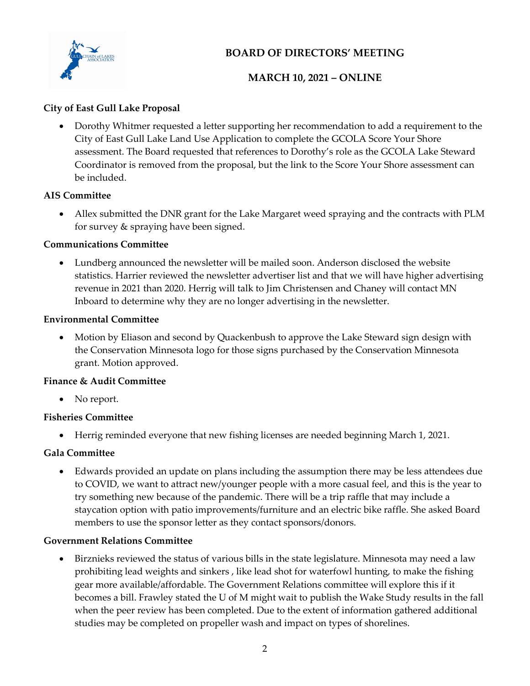

# BOARD OF DIRECTORS' MEETING

# MARCH 10, 2021 – ONLINE

## City of East Gull Lake Proposal

 Dorothy Whitmer requested a letter supporting her recommendation to add a requirement to the City of East Gull Lake Land Use Application to complete the GCOLA Score Your Shore assessment. The Board requested that references to Dorothy's role as the GCOLA Lake Steward Coordinator is removed from the proposal, but the link to the Score Your Shore assessment can be included.

## AIS Committee

 Allex submitted the DNR grant for the Lake Margaret weed spraying and the contracts with PLM for survey & spraying have been signed.

#### Communications Committee

 Lundberg announced the newsletter will be mailed soon. Anderson disclosed the website statistics. Harrier reviewed the newsletter advertiser list and that we will have higher advertising revenue in 2021 than 2020. Herrig will talk to Jim Christensen and Chaney will contact MN Inboard to determine why they are no longer advertising in the newsletter.

#### Environmental Committee

 Motion by Eliason and second by Quackenbush to approve the Lake Steward sign design with the Conservation Minnesota logo for those signs purchased by the Conservation Minnesota grant. Motion approved.

#### Finance & Audit Committee

• No report.

## Fisheries Committee

Herrig reminded everyone that new fishing licenses are needed beginning March 1, 2021.

## Gala Committee

 Edwards provided an update on plans including the assumption there may be less attendees due to COVID, we want to attract new/younger people with a more casual feel, and this is the year to try something new because of the pandemic. There will be a trip raffle that may include a staycation option with patio improvements/furniture and an electric bike raffle. She asked Board members to use the sponsor letter as they contact sponsors/donors.

## Government Relations Committee

 Birznieks reviewed the status of various bills in the state legislature. Minnesota may need a law prohibiting lead weights and sinkers , like lead shot for waterfowl hunting, to make the fishing gear more available/affordable. The Government Relations committee will explore this if it becomes a bill. Frawley stated the U of M might wait to publish the Wake Study results in the fall when the peer review has been completed. Due to the extent of information gathered additional studies may be completed on propeller wash and impact on types of shorelines.